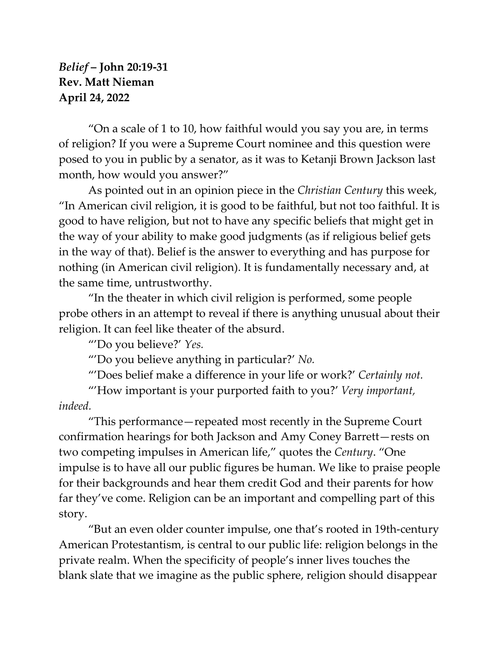## *Belief* **– John 20:19-31 Rev. Matt Nieman April 24, 2022**

"On a scale of 1 to 10, how faithful would you say you are, in terms of religion? If you were a Supreme Court nominee and this question were posed to you in public by a senator, as it was to Ketanji Brown Jackson last month, how would you answer?"

As pointed out in an opinion piece in the *Christian Century* this week, "In American civil religion, it is good to be faithful, but not too faithful. It is good to have religion, but not to have any specific beliefs that might get in the way of your ability to make good judgments (as if religious belief gets in the way of that). Belief is the answer to everything and has purpose for nothing (in American civil religion). It is fundamentally necessary and, at the same time, untrustworthy.

"In the theater in which civil religion is performed, some people probe others in an attempt to reveal if there is anything unusual about their religion. It can feel like theater of the absurd.

"'Do you believe?' *Yes.*

"'Do you believe anything in particular?' *No.*

"'Does belief make a difference in your life or work?' *Certainly not.*

"'How important is your purported faith to you?' *Very important, indeed.*

"This performance—repeated most recently in the Supreme Court confirmation hearings for both Jackson and [Amy Coney Barrett](https://www.christiancentury.org/article/publisher/religious-test-dianne-feinstein)—rests on two competing impulses in American life," quotes the *Century*. "One impulse is to have all our public figures be human. We like to praise people for their backgrounds and hear them credit God and their parents for how far they've come. Religion can be an important and compelling part of this story.

"But an even older counter impulse, one that's rooted in 19th-century American Protestantism, is central to our public life: religion belongs in the private realm. When the specificity of people's inner lives touches the blank slate that we imagine as the public sphere, religion should disappear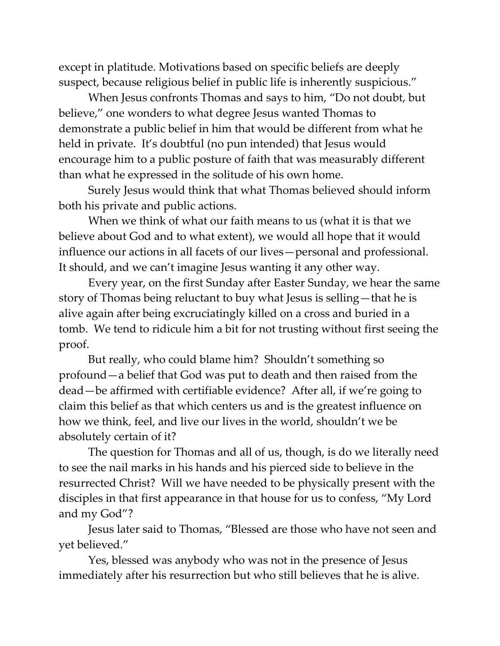except in platitude. Motivations based on specific beliefs are deeply suspect, because religious belief in public life is inherently suspicious."

When Jesus confronts Thomas and says to him, "Do not doubt, but believe," one wonders to what degree Jesus wanted Thomas to demonstrate a public belief in him that would be different from what he held in private. It's doubtful (no pun intended) that Jesus would encourage him to a public posture of faith that was measurably different than what he expressed in the solitude of his own home.

Surely Jesus would think that what Thomas believed should inform both his private and public actions.

When we think of what our faith means to us (what it is that we believe about God and to what extent), we would all hope that it would influence our actions in all facets of our lives—personal and professional. It should, and we can't imagine Jesus wanting it any other way.

Every year, on the first Sunday after Easter Sunday, we hear the same story of Thomas being reluctant to buy what Jesus is selling—that he is alive again after being excruciatingly killed on a cross and buried in a tomb. We tend to ridicule him a bit for not trusting without first seeing the proof.

But really, who could blame him? Shouldn't something so profound—a belief that God was put to death and then raised from the dead—be affirmed with certifiable evidence? After all, if we're going to claim this belief as that which centers us and is the greatest influence on how we think, feel, and live our lives in the world, shouldn't we be absolutely certain of it?

The question for Thomas and all of us, though, is do we literally need to see the nail marks in his hands and his pierced side to believe in the resurrected Christ? Will we have needed to be physically present with the disciples in that first appearance in that house for us to confess, "My Lord and my God"?

Jesus later said to Thomas, "Blessed are those who have not seen and yet believed."

Yes, blessed was anybody who was not in the presence of Jesus immediately after his resurrection but who still believes that he is alive.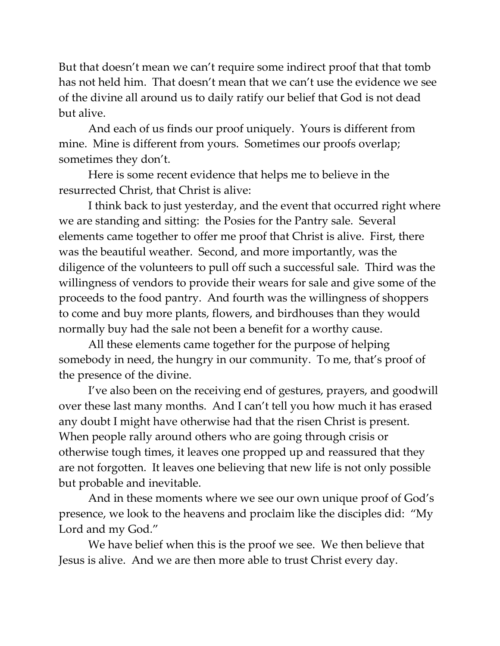But that doesn't mean we can't require some indirect proof that that tomb has not held him. That doesn't mean that we can't use the evidence we see of the divine all around us to daily ratify our belief that God is not dead but alive.

And each of us finds our proof uniquely. Yours is different from mine. Mine is different from yours. Sometimes our proofs overlap; sometimes they don't.

Here is some recent evidence that helps me to believe in the resurrected Christ, that Christ is alive:

I think back to just yesterday, and the event that occurred right where we are standing and sitting: the Posies for the Pantry sale. Several elements came together to offer me proof that Christ is alive. First, there was the beautiful weather. Second, and more importantly, was the diligence of the volunteers to pull off such a successful sale. Third was the willingness of vendors to provide their wears for sale and give some of the proceeds to the food pantry. And fourth was the willingness of shoppers to come and buy more plants, flowers, and birdhouses than they would normally buy had the sale not been a benefit for a worthy cause.

All these elements came together for the purpose of helping somebody in need, the hungry in our community. To me, that's proof of the presence of the divine.

I've also been on the receiving end of gestures, prayers, and goodwill over these last many months. And I can't tell you how much it has erased any doubt I might have otherwise had that the risen Christ is present. When people rally around others who are going through crisis or otherwise tough times, it leaves one propped up and reassured that they are not forgotten. It leaves one believing that new life is not only possible but probable and inevitable.

And in these moments where we see our own unique proof of God's presence, we look to the heavens and proclaim like the disciples did: "My Lord and my God."

We have belief when this is the proof we see. We then believe that Jesus is alive. And we are then more able to trust Christ every day.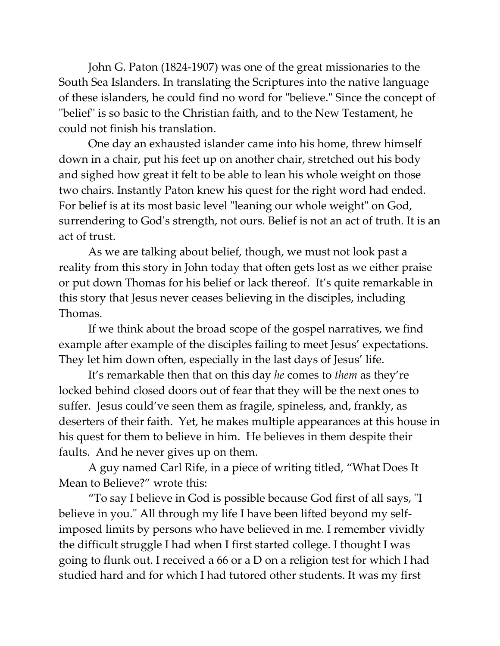John G. Paton (1824-1907) was one of the great missionaries to the South Sea Islanders. In translating the Scriptures into the native language of these islanders, he could find no word for "believe." Since the concept of "belief" is so basic to the Christian faith, and to the New Testament, he could not finish his translation.

One day an exhausted islander came into his home, threw himself down in a chair, put his feet up on another chair, stretched out his body and sighed how great it felt to be able to lean his whole weight on those two chairs. Instantly Paton knew his quest for the right word had ended. For belief is at its most basic level "leaning our whole weight" on God, surrendering to God's strength, not ours. Belief is not an act of truth. It is an act of trust.

As we are talking about belief, though, we must not look past a reality from this story in John today that often gets lost as we either praise or put down Thomas for his belief or lack thereof. It's quite remarkable in this story that Jesus never ceases believing in the disciples, including Thomas.

If we think about the broad scope of the gospel narratives, we find example after example of the disciples failing to meet Jesus' expectations. They let him down often, especially in the last days of Jesus' life.

It's remarkable then that on this day *he* comes to *them* as they're locked behind closed doors out of fear that they will be the next ones to suffer. Jesus could've seen them as fragile, spineless, and, frankly, as deserters of their faith. Yet, he makes multiple appearances at this house in his quest for them to believe in him. He believes in them despite their faults. And he never gives up on them.

A guy named Carl Rife, in a piece of writing titled, "What Does It Mean to Believe?" wrote this:

"To say I believe in God is possible because God first of all says, "I believe in you." All through my life I have been lifted beyond my selfimposed limits by persons who have believed in me. I remember vividly the difficult struggle I had when I first started college. I thought I was going to flunk out. I received a 66 or a D on a religion test for which I had studied hard and for which I had tutored other students. It was my first